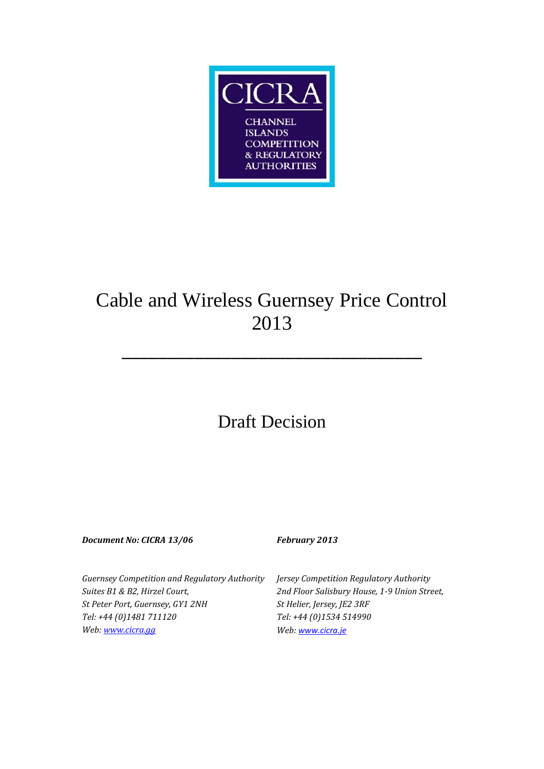

# Cable and Wireless Guernsey Price Control 2013

\_\_\_\_\_\_\_\_\_\_\_\_\_\_\_\_\_\_\_\_\_\_\_\_\_\_\_\_\_\_\_\_\_

## Draft Decision

*Document No: CICRA 13/06 February 2013*

*Guernsey Competition and Regulatory Authority Suites B1 & B2, Hirzel Court, St Peter Port, Guernsey, GY1 2NH Tel: +44 (0)1481 711120 Web[: www.cicra.gg](http://www.cicra.gg/)*

*Jersey Competition Regulatory Authority 2nd Floor Salisbury House, 1-9 Union Street, St Helier, Jersey, JE2 3RF Tel: +44 (0)1534 514990 Web: www.cicra.je*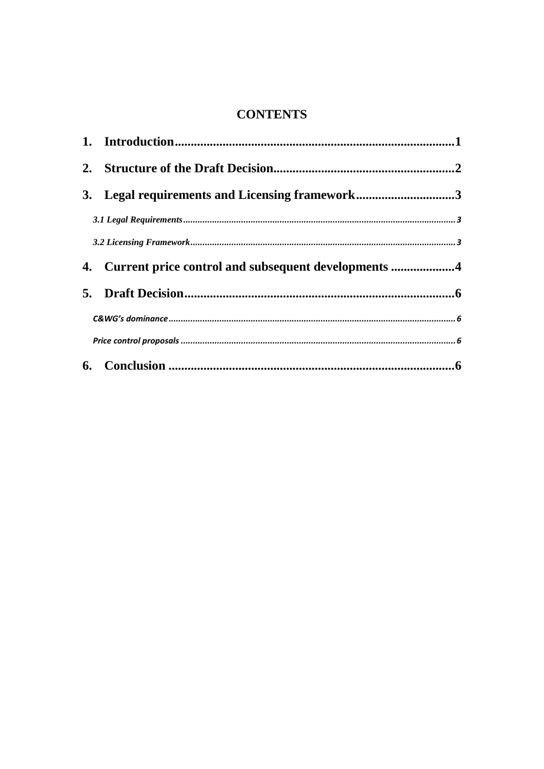## **CONTENTS**

| 3. Legal requirements and Licensing framework3         |  |
|--------------------------------------------------------|--|
|                                                        |  |
|                                                        |  |
| 4. Current price control and subsequent developments 4 |  |
|                                                        |  |
|                                                        |  |
|                                                        |  |
|                                                        |  |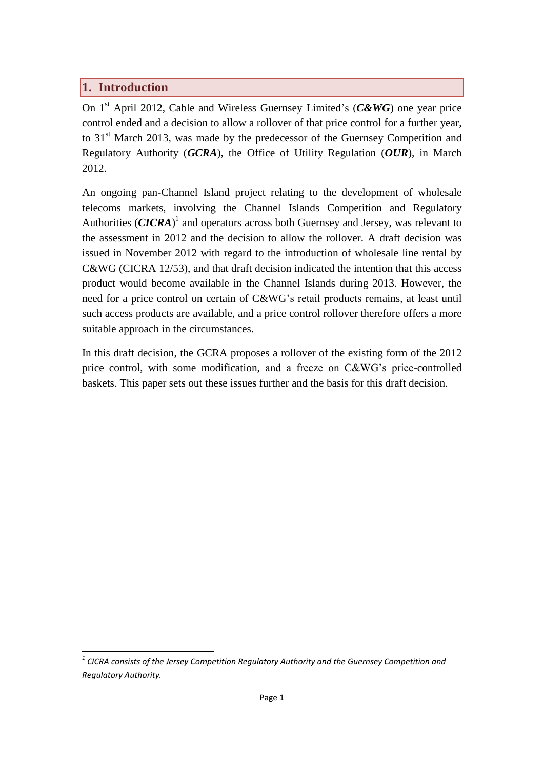#### <span id="page-2-0"></span>**1. Introduction**

On 1st April 2012, Cable and Wireless Guernsey Limited's (*C&WG*) one year price control ended and a decision to allow a rollover of that price control for a further year, to 31<sup>st</sup> March 2013, was made by the predecessor of the Guernsey Competition and Regulatory Authority (*GCRA*), the Office of Utility Regulation (*OUR*), in March 2012.

An ongoing pan-Channel Island project relating to the development of wholesale telecoms markets, involving the Channel Islands Competition and Regulatory Authorities  $(CICRA)^1$  and operators across both Guernsey and Jersey, was relevant to the assessment in 2012 and the decision to allow the rollover. A draft decision was issued in November 2012 with regard to the introduction of wholesale line rental by C&WG (CICRA 12/53), and that draft decision indicated the intention that this access product would become available in the Channel Islands during 2013. However, the need for a price control on certain of C&WG's retail products remains, at least until such access products are available, and a price control rollover therefore offers a more suitable approach in the circumstances.

In this draft decision, the GCRA proposes a rollover of the existing form of the 2012 price control, with some modification, and a freeze on C&WG's price-controlled baskets. This paper sets out these issues further and the basis for this draft decision.

*<sup>1</sup> CICRA consists of the Jersey Competition Regulatory Authority and the Guernsey Competition and Regulatory Authority.*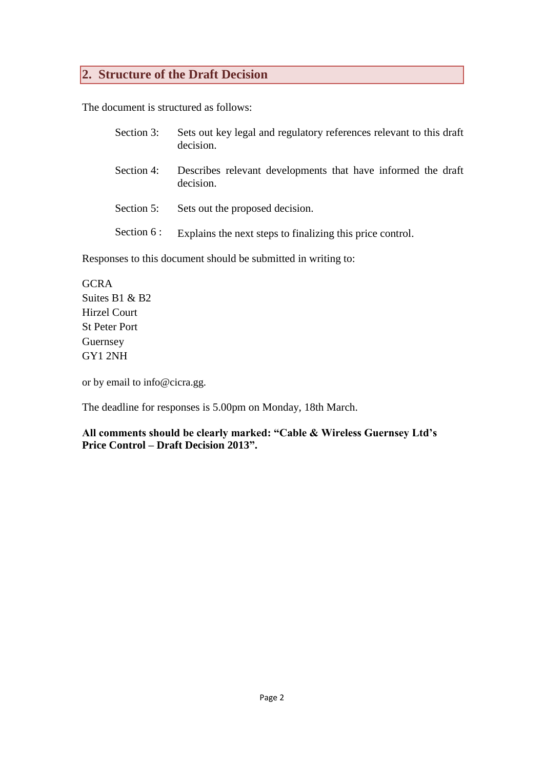#### <span id="page-3-0"></span>**2. Structure of the Draft Decision**

The document is structured as follows:

- Section 3: Sets out key legal and regulatory references relevant to this draft decision.
- Section 4: Describes relevant developments that have informed the draft decision.
- Section 5: Sets out the proposed decision.
- Section 6 : Explains the next steps to finalizing this price control.

Responses to this document should be submitted in writing to:

**GCRA** Suites B1 & B2 Hirzel Court St Peter Port Guernsey GY1 2NH

or by email to info@cicra.gg.

The deadline for responses is 5.00pm on Monday, 18th March.

**All comments should be clearly marked: "Cable & Wireless Guernsey Ltd's Price Control – Draft Decision 2013".**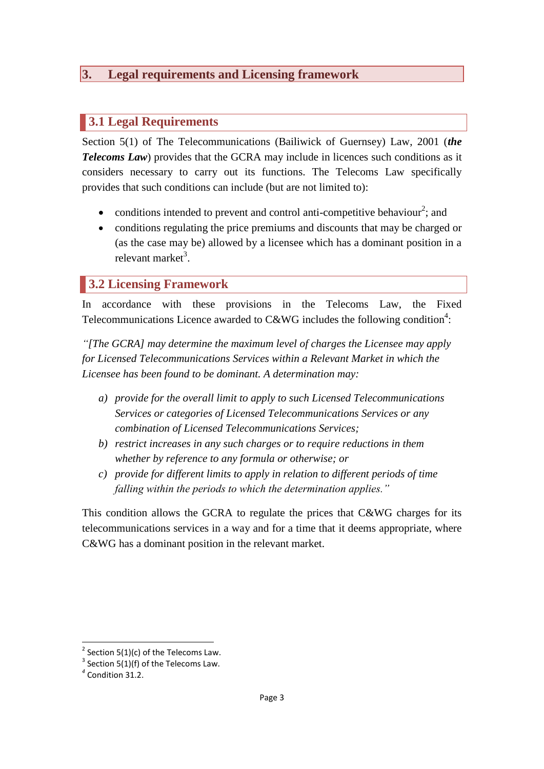#### <span id="page-4-0"></span>**3. Legal requirements and Licensing framework**

#### <span id="page-4-1"></span>**3.1 Legal Requirements**

Section 5(1) of The Telecommunications (Bailiwick of Guernsey) Law, 2001 (*the Telecoms Law*) provides that the GCRA may include in licences such conditions as it considers necessary to carry out its functions. The Telecoms Law specifically provides that such conditions can include (but are not limited to):

- conditions intended to prevent and control anti-competitive behaviour<sup>2</sup>; and
- conditions regulating the price premiums and discounts that may be charged or (as the case may be) allowed by a licensee which has a dominant position in a relevant market<sup>3</sup>.

#### <span id="page-4-2"></span>**3.2 Licensing Framework**

In accordance with these provisions in the Telecoms Law, the Fixed Telecommunications Licence awarded to C&WG includes the following condition<sup>4</sup>:

*"[The GCRA] may determine the maximum level of charges the Licensee may apply for Licensed Telecommunications Services within a Relevant Market in which the Licensee has been found to be dominant. A determination may:*

- *a) provide for the overall limit to apply to such Licensed Telecommunications Services or categories of Licensed Telecommunications Services or any combination of Licensed Telecommunications Services;*
- *b) restrict increases in any such charges or to require reductions in them whether by reference to any formula or otherwise; or*
- *c) provide for different limits to apply in relation to different periods of time falling within the periods to which the determination applies."*

This condition allows the GCRA to regulate the prices that C&WG charges for its telecommunications services in a way and for a time that it deems appropriate, where C&WG has a dominant position in the relevant market.

 $2$  Section 5(1)(c) of the Telecoms Law.

 $3$  Section 5(1)(f) of the Telecoms Law.

*<sup>4</sup>* Condition 31.2.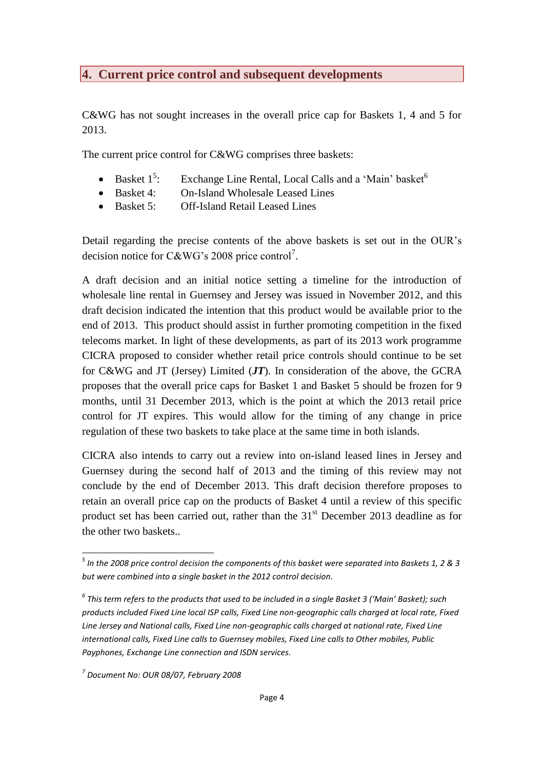#### <span id="page-5-0"></span>**4. Current price control and subsequent developments**

C&WG has not sought increases in the overall price cap for Baskets 1, 4 and 5 for 2013.

The current price control for C&WG comprises three baskets:

- Basket  $1^5$ : Exchange Line Rental, Local Calls and a 'Main' basket<sup>6</sup>
- Basket 4: On-Island Wholesale Leased Lines
- Basket 5: Off-Island Retail Leased Lines

Detail regarding the precise contents of the above baskets is set out in the OUR's decision notice for C&WG's 2008 price control<sup>7</sup>.

A draft decision and an initial notice setting a timeline for the introduction of wholesale line rental in Guernsey and Jersey was issued in November 2012, and this draft decision indicated the intention that this product would be available prior to the end of 2013. This product should assist in further promoting competition in the fixed telecoms market. In light of these developments, as part of its 2013 work programme CICRA proposed to consider whether retail price controls should continue to be set for C&WG and JT (Jersey) Limited (*JT*). In consideration of the above, the GCRA proposes that the overall price caps for Basket 1 and Basket 5 should be frozen for 9 months, until 31 December 2013, which is the point at which the 2013 retail price control for JT expires. This would allow for the timing of any change in price regulation of these two baskets to take place at the same time in both islands.

CICRA also intends to carry out a review into on-island leased lines in Jersey and Guernsey during the second half of 2013 and the timing of this review may not conclude by the end of December 2013. This draft decision therefore proposes to retain an overall price cap on the products of Basket 4 until a review of this specific product set has been carried out, rather than the  $31<sup>st</sup>$  December 2013 deadline as for the other two baskets..

*<sup>5</sup> In the 2008 price control decision the components of this basket were separated into Baskets 1, 2 & 3 but were combined into a single basket in the 2012 control decision.*

*<sup>6</sup> This term refers to the products that used to be included in a single Basket 3 ('Main' Basket); such products included Fixed Line local ISP calls, Fixed Line non-geographic calls charged at local rate, Fixed Line Jersey and National calls, Fixed Line non-geographic calls charged at national rate, Fixed Line international calls, Fixed Line calls to Guernsey mobiles, Fixed Line calls to Other mobiles, Public Payphones, Exchange Line connection and ISDN services.*

*<sup>7</sup> Document No: OUR 08/07, February 2008*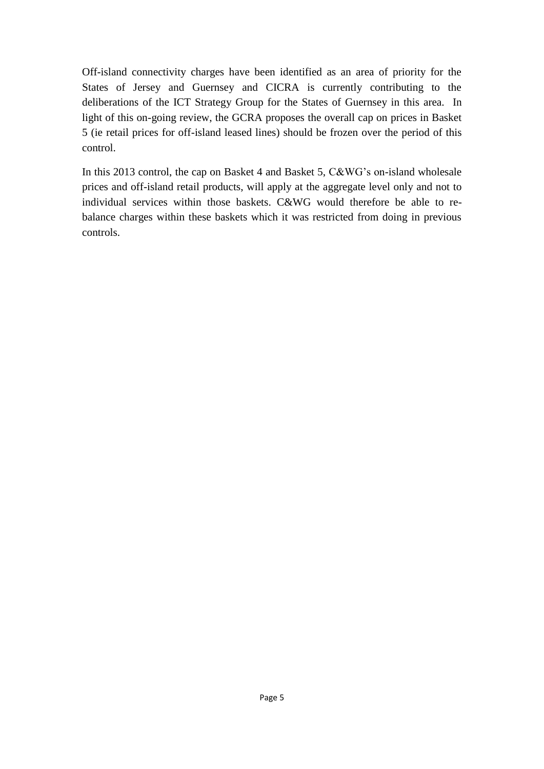Off-island connectivity charges have been identified as an area of priority for the States of Jersey and Guernsey and CICRA is currently contributing to the deliberations of the ICT Strategy Group for the States of Guernsey in this area. In light of this on-going review, the GCRA proposes the overall cap on prices in Basket 5 (ie retail prices for off-island leased lines) should be frozen over the period of this control.

In this 2013 control, the cap on Basket 4 and Basket 5, C&WG's on-island wholesale prices and off-island retail products, will apply at the aggregate level only and not to individual services within those baskets. C&WG would therefore be able to rebalance charges within these baskets which it was restricted from doing in previous controls.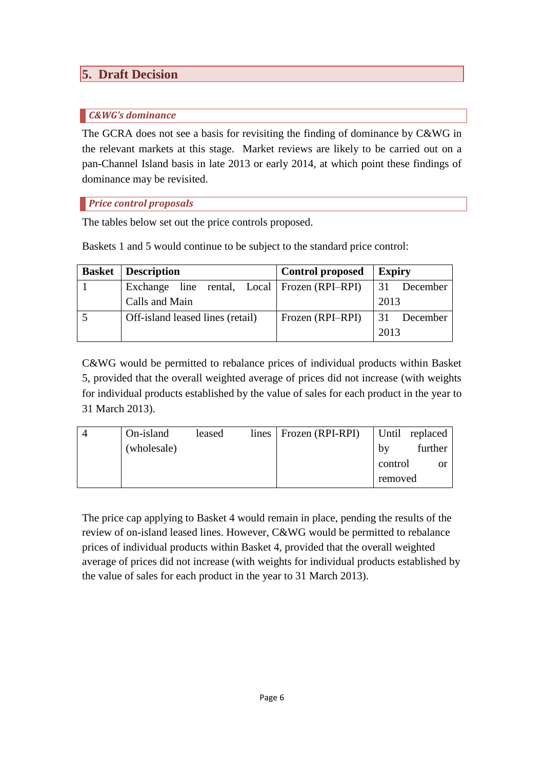## <span id="page-7-0"></span>**5. Draft Decision**

#### <span id="page-7-1"></span>*C&WG's dominance*

The GCRA does not see a basis for revisiting the finding of dominance by C&WG in the relevant markets at this stage. Market reviews are likely to be carried out on a pan-Channel Island basis in late 2013 or early 2014, at which point these findings of dominance may be revisited.

#### <span id="page-7-2"></span>*Price control proposals*

The tables below set out the price controls proposed.

Baskets 1 and 5 would continue to be subject to the standard price control:

| <b>Basket</b>   Description                    | <b>Control proposed</b> | <b>Expiry</b>                |  |
|------------------------------------------------|-------------------------|------------------------------|--|
| Exchange line rental, Local   Frozen (RPI–RPI) |                         | $\vert 31 \vert$<br>December |  |
| Calls and Main                                 |                         | 2013                         |  |
| Off-island leased lines (retail)               | Frozen (RPI-RPI)        | <sup>31</sup><br>December    |  |
|                                                |                         | 2013                         |  |

C&WG would be permitted to rebalance prices of individual products within Basket 5, provided that the overall weighted average of prices did not increase (with weights for individual products established by the value of sales for each product in the year to 31 March 2013).

| On-island   | leased | $lines \mid Frozen (RPI-RPI)$ |         | Until replaced |
|-------------|--------|-------------------------------|---------|----------------|
| (wholesale) |        |                               | by      | further        |
|             |        |                               | control | or             |
|             |        |                               | removed |                |

<span id="page-7-3"></span>The price cap applying to Basket 4 would remain in place, pending the results of the review of on-island leased lines. However, C&WG would be permitted to rebalance prices of individual products within Basket 4, provided that the overall weighted average of prices did not increase (with weights for individual products established by the value of sales for each product in the year to 31 March 2013).